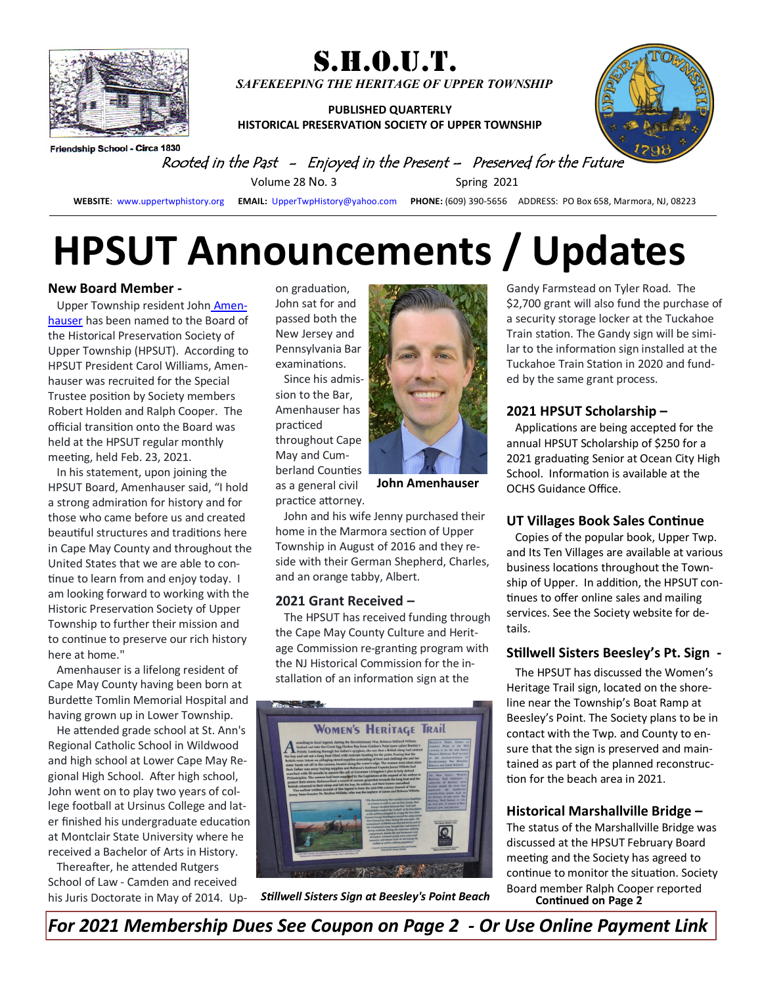

S.H.O.U.T. *SAFEKEEPING THE HERITAGE OF UPPER TOWNSHIP*

**PUBLISHED QUARTERLY HISTORICAL PRESERVATION SOCIETY OF UPPER TOWNSHIP**



Friendship School - Circa 1830

Rooted in the Past - Enjoyed in the Present – Preserved for the Future

Volume 28 No. 3 Spring 2021

**WEBSITE**: [www.uppertwphistory.org](http://www.uppertwphistory.org) **EMAIL:** [UpperTwpHistory@yahoo.com](http://www.UpperTwpHistory@yahoo.com) **PHONE:** (609) 390-5656 ADDRESS: PO Box 658, Marmora, NJ, 08223

# **HPSUT Announcements / Updates**

#### **New Board Member -**

Upper Township resident John Amenhauser has been named to the Board of the Historical Preservation Society of Upper Township (HPSUT). According to HPSUT President Carol Williams, Amenhauser was recruited for the Special Trustee position by Society members Robert Holden and Ralph Cooper. The official transition onto the Board was held at the HPSUT regular monthly meeting, held Feb. 23, 2021.

 In his statement, upon joining the HPSUT Board, Amenhauser said, "I hold a strong admiration for history and for those who came before us and created beautiful structures and traditions here in Cape May County and throughout the United States that we are able to continue to learn from and enjoy today. I am looking forward to working with the Historic Preservation Society of Upper Township to further their mission and to continue to preserve our rich history here at home."

 Amenhauser is a lifelong resident of Cape May County having been born at Burdette Tomlin Memorial Hospital and having grown up in Lower Township.

 He attended grade school at St. Ann's Regional Catholic School in Wildwood and high school at Lower Cape May Regional High School. After high school, John went on to play two years of college football at Ursinus College and later finished his undergraduate education at Montclair State University where he received a Bachelor of Arts in History.

 Thereafter, he attended Rutgers School of Law - Camden and received his Juris Doctorate in May of 2014. Upon graduation, John sat for and passed both the New Jersey and Pennsylvania Bar examinations.

 Since his admission to the Bar, Amenhauser has practiced throughout Cape May and Cumberland Counties as a general civil practice attorney.



**John Amenhauser** 

 John and his wife Jenny purchased their home in the Marmora section of Upper Township in August of 2016 and they reside with their German Shepherd, Charles, and an orange tabby, Albert.

#### **2021 Grant Received –**

The HPSUT has received funding through the Cape May County Culture and Heritage Commission re-granting program with the NJ Historical Commission for the installation of an information sign at the



*Stillwell Sisters Sign at Beesley's Point Beach*

Gandy Farmstead on Tyler Road. The \$2,700 grant will also fund the purchase of a security storage locker at the Tuckahoe Train station. The Gandy sign will be similar to the information sign installed at the Tuckahoe Train Station in 2020 and funded by the same grant process.

#### **2021 HPSUT Scholarship –**

 Applications are being accepted for the annual HPSUT Scholarship of \$250 for a 2021 graduating Senior at Ocean City High School. Information is available at the OCHS Guidance Office.

#### **UT Villages Book Sales Continue**

Copies of the popular book, Upper Twp. and Its Ten Villages are available at various business locations throughout the Township of Upper. In addition, the HPSUT continues to offer online sales and mailing services. See the Society website for details.

#### **Stillwell Sisters Beesley's Pt. Sign -**

The HPSUT has discussed the Women's Heritage Trail sign, located on the shoreline near the Township's Boat Ramp at Beesley's Point. The Society plans to be in contact with the Twp. and County to ensure that the sign is preserved and maintained as part of the planned reconstruction for the beach area in 2021.

#### **Historical Marshallville Bridge –**

**Continued on Page 2** The status of the Marshallville Bridge was discussed at the HPSUT February Board meeting and the Society has agreed to continue to monitor the situation. Society Board member Ralph Cooper reported

*For 2021 Membership Dues See Coupon on Page 2 - Or Use Online Payment Link*